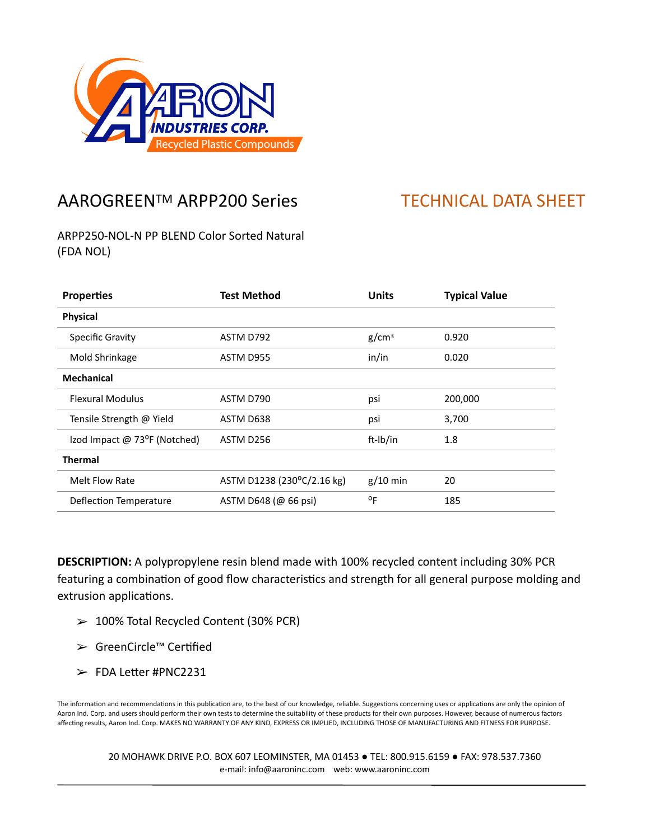

## AAROGREEN™ ARPP200 Series TECHNICAL DATA SHEET

ARPP250-NOL-N PP BLEND Color Sorted Natural (FDA NOL)

| <b>Properties</b>            | Test Method                | <b>Units</b>      | <b>Typical Value</b> |
|------------------------------|----------------------------|-------------------|----------------------|
| <b>Physical</b>              |                            |                   |                      |
| <b>Specific Gravity</b>      | ASTM D792                  | g/cm <sup>3</sup> | 0.920                |
| Mold Shrinkage               | ASTM D955                  | in/in             | 0.020                |
| <b>Mechanical</b>            |                            |                   |                      |
| <b>Flexural Modulus</b>      | ASTM D790                  | psi               | 200,000              |
| Tensile Strength @ Yield     | ASTM D638                  | psi               | 3,700                |
| Izod Impact @ 73°F (Notched) | ASTM D256                  | ft-Ib/in          | 1.8                  |
| <b>Thermal</b>               |                            |                   |                      |
| Melt Flow Rate               | ASTM D1238 (230°C/2.16 kg) | $g/10$ min        | 20                   |
| Deflection Temperature       | ASTM D648 (@ 66 psi)       | $^{\circ}$ F      | 185                  |

**DESCRIPTION:** A polypropylene resin blend made with 100% recycled content including 30% PCR featuring a combination of good flow characteristics and strength for all general purpose molding and extrusion applications.

- ➢ 100% Total Recycled Content (30% PCR)
- ➢ GreenCircle™ CerPfied
- $\blacktriangleright$  FDA Letter #PNC2231

The information and recommendations in this publication are, to the best of our knowledge, reliable. Suggestions concerning uses or applications are only the opinion of Aaron Ind. Corp. and users should perform their own tests to determine the suitability of these products for their own purposes. However, because of numerous factors affecting results, Aaron Ind. Corp. MAKES NO WARRANTY OF ANY KIND, EXPRESS OR IMPLIED, INCLUDING THOSE OF MANUFACTURING AND FITNESS FOR PURPOSE.

20 MOHAWK DRIVE P.O. BOX 607 LEOMINSTER, MA 01453 ● TEL: 800.915.6159 ● FAX: 978.537.7360 e-mail: info@aaroninc.com web: www.aaroninc.com